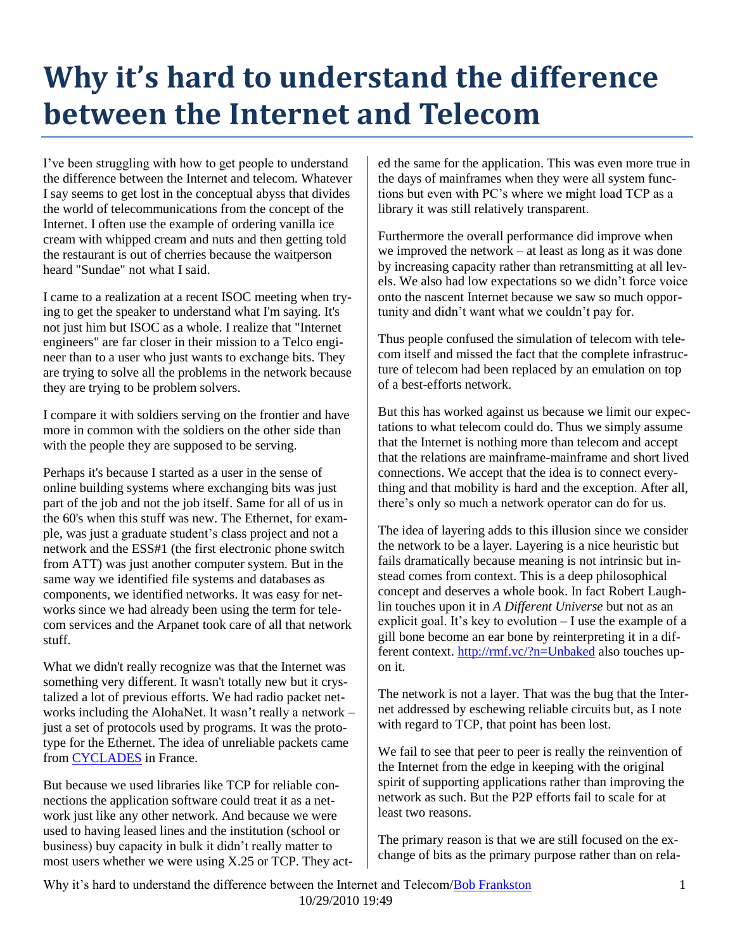## **Why it's hard to understand the difference between the Internet and Telecom**

I've been struggling with how to get people to understand the difference between the Internet and telecom. Whatever I say seems to get lost in the conceptual abyss that divides the world of telecommunications from the concept of the Internet. I often use the example of ordering vanilla ice cream with whipped cream and nuts and then getting told the restaurant is out of cherries because the waitperson heard "Sundae" not what I said.

I came to a realization at a recent ISOC meeting when trying to get the speaker to understand what I'm saying. It's not just him but ISOC as a whole. I realize that "Internet engineers" are far closer in their mission to a Telco engineer than to a user who just wants to exchange bits. They are trying to solve all the problems in the network because they are trying to be problem solvers.

I compare it with soldiers serving on the frontier and have more in common with the soldiers on the other side than with the people they are supposed to be serving.

Perhaps it's because I started as a user in the sense of online building systems where exchanging bits was just part of the job and not the job itself. Same for all of us in the 60's when this stuff was new. The Ethernet, for example, was just a graduate student's class project and not a network and the ESS#1 (the first electronic phone switch from ATT) was just another computer system. But in the same way we identified file systems and databases as components, we identified networks. It was easy for networks since we had already been using the term for telecom services and the Arpanet took care of all that network stuff.

What we didn't really recognize was that the Internet was something very different. It wasn't totally new but it crystalized a lot of previous efforts. We had radio packet networks including the AlohaNet. It wasn't really a network – just a set of protocols used by programs. It was the prototype for the Ethernet. The idea of unreliable packets came from **[CYCLADES](http://en.wikipedia.org/wiki/CYCLADES)** in France.

But because we used libraries like TCP for reliable connections the application software could treat it as a network just like any other network. And because we were used to having leased lines and the institution (school or business) buy capacity in bulk it didn't really matter to most users whether we were using X.25 or TCP. They acted the same for the application. This was even more true in the days of mainframes when they were all system functions but even with PC's where we might load TCP as a library it was still relatively transparent.

Furthermore the overall performance did improve when we improved the network – at least as long as it was done by increasing capacity rather than retransmitting at all levels. We also had low expectations so we didn't force voice onto the nascent Internet because we saw so much opportunity and didn't want what we couldn't pay for.

Thus people confused the simulation of telecom with telecom itself and missed the fact that the complete infrastructure of telecom had been replaced by an emulation on top of a best-efforts network.

But this has worked against us because we limit our expectations to what telecom could do. Thus we simply assume that the Internet is nothing more than telecom and accept that the relations are mainframe-mainframe and short lived connections. We accept that the idea is to connect everything and that mobility is hard and the exception. After all, there's only so much a network operator can do for us.

The idea of layering adds to this illusion since we consider the network to be a layer. Layering is a nice heuristic but fails dramatically because meaning is not intrinsic but instead comes from context. This is a deep philosophical concept and deserves a whole book. In fact Robert Laughlin touches upon it in *A Different Universe* but not as an explicit goal. It's key to evolution – I use the example of a gill bone become an ear bone by reinterpreting it in a different context.<http://rmf.vc/?n=Unbaked> also touches upon it.

The network is not a layer. That was the bug that the Internet addressed by eschewing reliable circuits but, as I note with regard to TCP, that point has been lost.

We fail to see that peer to peer is really the reinvention of the Internet from the edge in keeping with the original spirit of supporting applications rather than improving the network as such. But the P2P efforts fail to scale for at least two reasons.

The primary reason is that we are still focused on the exchange of bits as the primary purpose rather than on rela